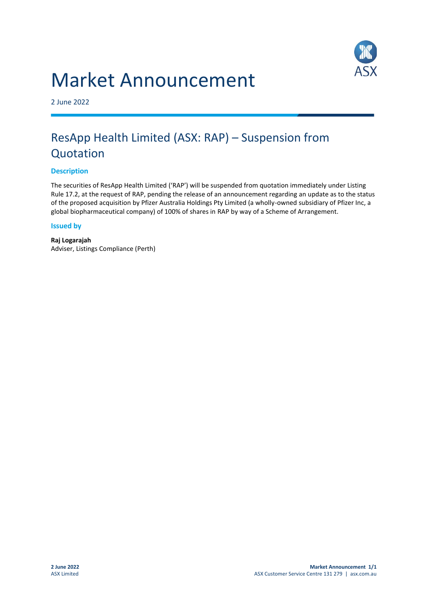# Market Announcement



2 June 2022

# ResApp Health Limited (ASX: RAP) – Suspension from Quotation

## **Description**

The securities of ResApp Health Limited ('RAP') will be suspended from quotation immediately under Listing Rule 17.2, at the request of RAP, pending the release of an announcement regarding an update as to the status of the proposed acquisition by Pfizer Australia Holdings Pty Limited (a wholly-owned subsidiary of Pfizer Inc, a global biopharmaceutical company) of 100% of shares in RAP by way of a Scheme of Arrangement.

### **Issued by**

**Raj Logarajah** Adviser, Listings Compliance (Perth)